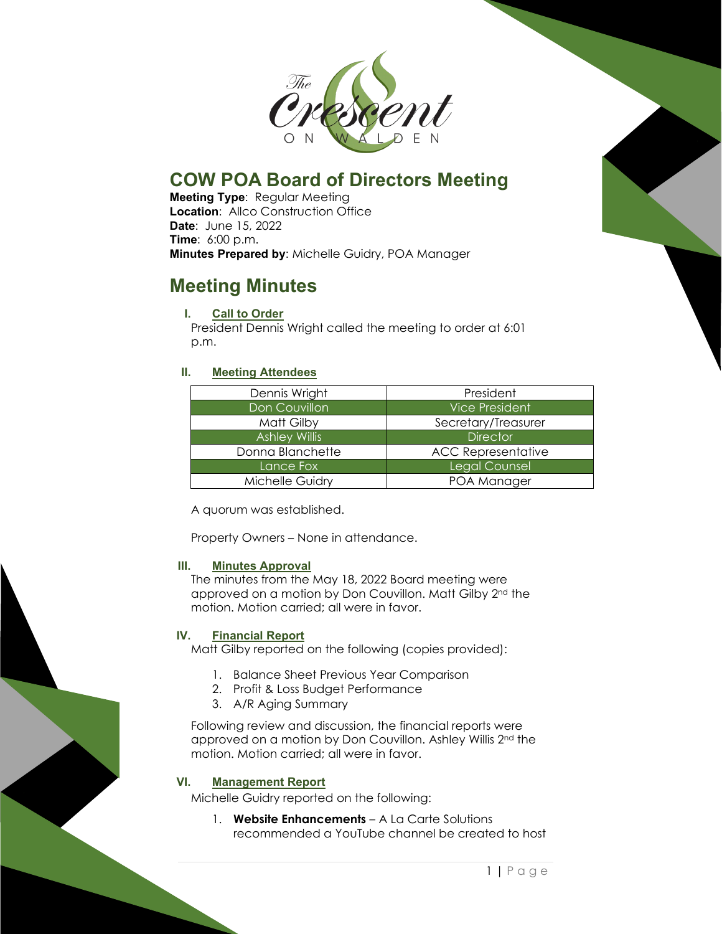

# **COW POA Board of Directors Meeting**

**Meeting Type**: Regular Meeting **Location: Allco Construction Office Date**: June 15, 2022 **Time**: 6:00 p.m. **Minutes Prepared by**: Michelle Guidry, POA Manager

# **Meeting Minutes**

### **I. Call to Order**

President Dennis Wright called the meeting to order at 6:01 p.m.

## **II. Meeting Attendees**

| Dennis Wright        | President                 |
|----------------------|---------------------------|
| Don Couvillon        | <b>Vice President</b>     |
| Matt Gilby           | Secretary/Treasurer       |
| <b>Ashley Willis</b> | <b>Director</b>           |
| Donna Blanchette     | <b>ACC Representative</b> |
| Lance Fox            | <b>Legal Counsel</b>      |
| Michelle Guidry      | POA Manager               |

A quorum was established.

Property Owners – None in attendance.

### **III. Minutes Approval**

The minutes from the May 18, 2022 Board meeting were approved on a motion by Don Couvillon. Matt Gilby 2nd the motion. Motion carried; all were in favor.

### **IV. Financial Report**

Matt Gilby reported on the following (copies provided):

- 1. Balance Sheet Previous Year Comparison
- 2. Profit & Loss Budget Performance
- 3. A/R Aging Summary

Following review and discussion, the financial reports were approved on a motion by Don Couvillon. Ashley Willis 2nd the motion. Motion carried; all were in favor.

### **VI. Management Report**

Michelle Guidry reported on the following:

1. **Website Enhancements** – A La Carte Solutions recommended a YouTube channel be created to host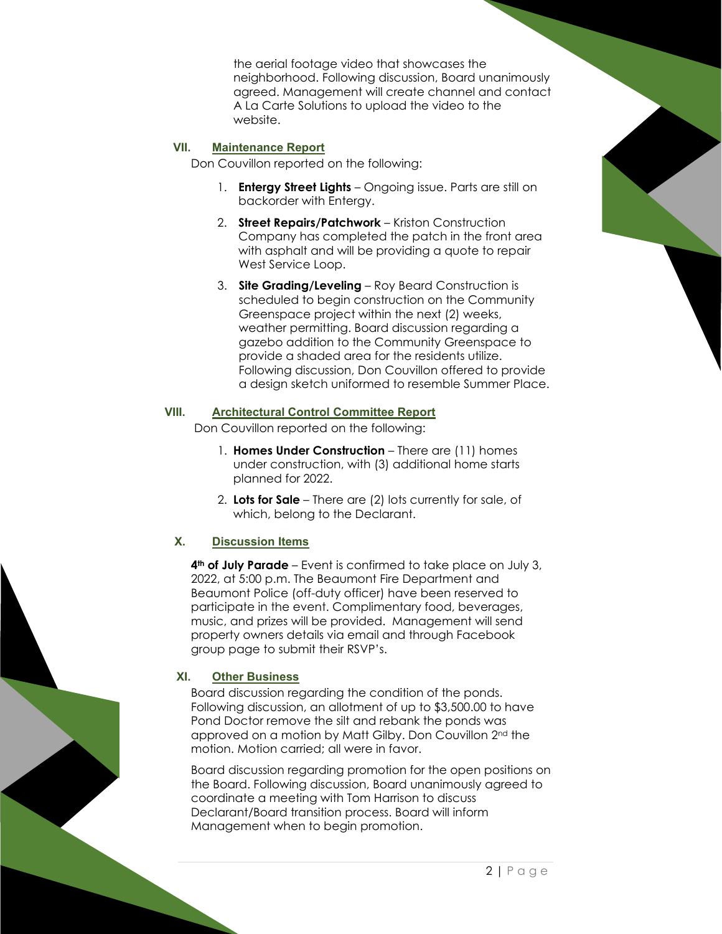the aerial footage video that showcases the neighborhood. Following discussion, Board unanimously agreed. Management will create channel and contact A La Carte Solutions to upload the video to the website.

#### **VII. Maintenance Report**

Don Couvillon reported on the following:

- 1. **Entergy Street Lights** Ongoing issue. Parts are still on backorder with Entergy.
- 2. **Street Repairs/Patchwork** Kriston Construction Company has completed the patch in the front area with asphalt and will be providing a quote to repair West Service Loop.
- 3. **Site Grading/Leveling** Roy Beard Construction is scheduled to begin construction on the Community Greenspace project within the next (2) weeks, weather permitting. Board discussion regarding a gazebo addition to the Community Greenspace to provide a shaded area for the residents utilize. Following discussion, Don Couvillon offered to provide a design sketch uniformed to resemble Summer Place.

#### **VIII. Architectural Control Committee Report**

Don Couvillon reported on the following:

- 1. **Homes Under Construction** There are (11) homes under construction, with (3) additional home starts planned for 2022.
- 2. **Lots for Sale** There are (2) lots currently for sale, of which, belong to the Declarant.

### **X. Discussion Items**

**4th of July Parade** – Event is confirmed to take place on July 3, 2022, at 5:00 p.m. The Beaumont Fire Department and Beaumont Police (off-duty officer) have been reserved to participate in the event. Complimentary food, beverages, music, and prizes will be provided. Management will send property owners details via email and through Facebook group page to submit their RSVP's.

### **XI. Other Business**

Board discussion regarding the condition of the ponds. Following discussion, an allotment of up to \$3,500.00 to have Pond Doctor remove the silt and rebank the ponds was approved on a motion by Matt Gilby. Don Couvillon 2nd the motion. Motion carried; all were in favor.

Board discussion regarding promotion for the open positions on the Board. Following discussion, Board unanimously agreed to coordinate a meeting with Tom Harrison to discuss Declarant/Board transition process. Board will inform Management when to begin promotion.